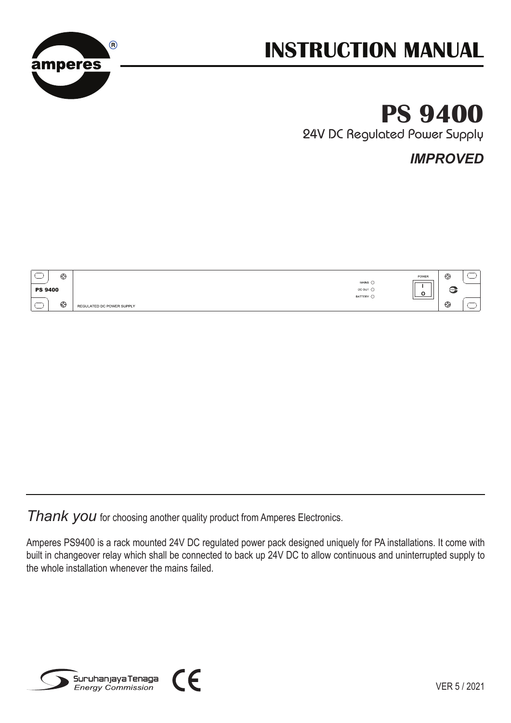

# **INSTRUCTION MANUAL**

# **PS 9400**

24V DC Regulated Power Supply

*IMPROVED*

|                | € | POWER                                  | ⊕ |  |
|----------------|---|----------------------------------------|---|--|
| <b>PS 9400</b> |   | MAINS O<br>DC OUT O                    | e |  |
|                | € | BATTERY O<br>REGULATED DC POWER SUPPLY | ⊕ |  |

**Thank you** for choosing another quality product from Amperes Electronics.

Amperes PS9400 is a rack mounted 24V DC regulated power pack designed uniquely for PA installations. It come with built in changeover relay which shall be connected to back up 24V DC to allow continuous and uninterrupted supply to the whole installation whenever the mains failed.



VER 5 / 2021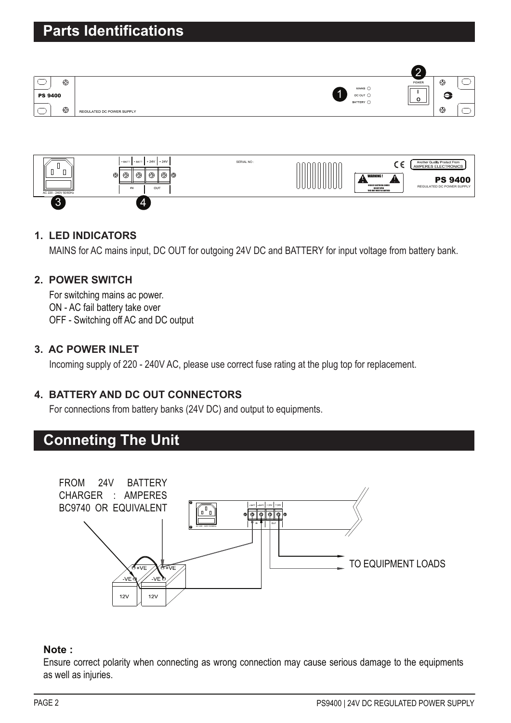



### **1. LED INDICATORS**

MAINS for AC mains input, DC OUT for outgoing 24V DC and BATTERY for input voltage from battery bank.

## **2. POWER SWITCH**

For switching mains ac power. ON - AC fail battery take over OFF - Switching off AC and DC output

### **3. AC POWER INLET**

Incoming supply of 220 - 240V AC, please use correct fuse rating at the plug top for replacement.

## **4. BATTERY AND DC OUT CONNECTORS**

For connections from battery banks (24V DC) and output to equipments.

# **Conneting The Unit**



#### **Note :**

Ensure correct polarity when connecting as wrong connection may cause serious damage to the equipments as well as injuries.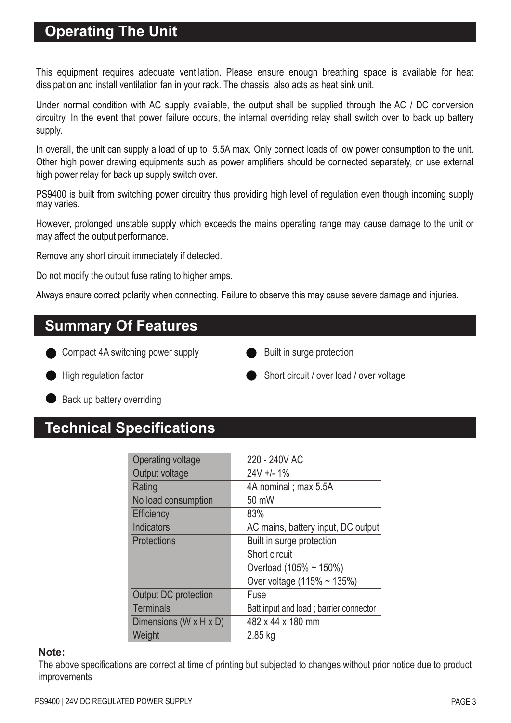## **Operating The Unit**

This equipment requires adequate ventilation. Please ensure enough breathing space is available for heat dissipation and install ventilation fan in your rack. The chassis also acts as heat sink unit.

Under normal condition with AC supply available, the output shall be supplied through the AC / DC conversion circuitry. In the event that power failure occurs, the internal overriding relay shall switch over to back up battery supply.

In overall, the unit can supply a load of up to 5.5A max. Only connect loads of low power consumption to the unit. Other high power drawing equipments such as power amplifiers should be connected separately, or use external high power relay for back up supply switch over.

PS9400 is built from switching power circuitry thus providing high level of regulation even though incoming supply may varies.

However, prolonged unstable supply which exceeds the mains operating range may cause damage to the unit or may affect the output performance.

Remove any short circuit immediately if detected.

Do not modify the output fuse rating to higher amps.

Always ensure correct polarity when connecting. Failure to observe this may cause severe damage and injuries.

## **Summary Of Features**

- Compact 4A switching power supply
- Built in surge protection

- 
- High regulation factor Short circuit / over load / over voltage
- Back up battery overriding

# **Technical Specifications**

| Operating voltage           | 220 - 240V AC                          |  |  |  |
|-----------------------------|----------------------------------------|--|--|--|
| Output voltage              | $24V + 1.1%$                           |  |  |  |
| Rating                      | 4A nominal; max 5.5A                   |  |  |  |
| No load consumption         | 50 mW                                  |  |  |  |
| <b>Efficiency</b>           | 83%                                    |  |  |  |
| Indicators                  | AC mains, battery input, DC output     |  |  |  |
| <b>Protections</b>          | Built in surge protection              |  |  |  |
|                             | Short circuit                          |  |  |  |
|                             | Overload (105% ~ 150%)                 |  |  |  |
|                             | Over voltage $(115% \sim 135%)$        |  |  |  |
| <b>Output DC</b> protection | Fuse                                   |  |  |  |
| <b>Terminals</b>            | Batt input and load; barrier connector |  |  |  |
| Dimensions (W x H x D)      | 482 x 44 x 180 mm                      |  |  |  |
| Weight                      | 2.85 kg                                |  |  |  |

#### **Note:**

The above specifications are correct at time of printing but subjected to changes without prior notice due to product improvements